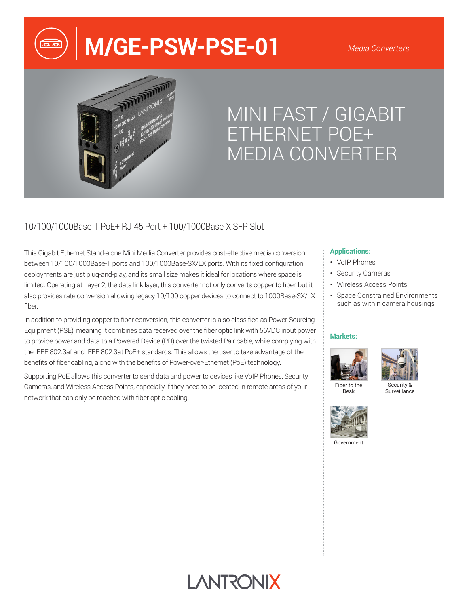# **M/GE-PSW-PSE-01**

#### *Media Converters*



## MINI FAST / GIGABIT ETHERNET POE+ MEDIA CONVERTER

## 10/100/1000Base-T PoE+ RJ-45 Port + 100/1000Base-X SFP Slot

This Gigabit Ethernet Stand-alone Mini Media Converter provides cost-effective media conversion between 10/100/1000Base-T ports and 100/1000Base-SX/LX ports. With its fixed configuration, deployments are just plug-and-play, and its small size makes it ideal for locations where space is limited. Operating at Layer 2, the data link layer, this converter not only converts copper to fiber, but it also provides rate conversion allowing legacy 10/100 copper devices to connect to 1000Base-SX/LX fiber.

In addition to providing copper to fiber conversion, this converter is also classified as Power Sourcing Equipment (PSE), meaning it combines data received over the fiber optic link with 56VDC input power to provide power and data to a Powered Device (PD) over the twisted Pair cable, while complying with the IEEE 802.3af and IEEE 802.3at PoE+ standards. This allows the user to take advantage of the benefits of fiber cabling, along with the benefits of Power-over-Ethernet (PoE) technology.

Supporting PoE allows this converter to send data and power to devices like VoIP Phones, Security Cameras, and Wireless Access Points, especially if they need to be located in remote areas of your network that can only be reached with fiber optic cabling.

#### **Applications:**

- VoIP Phones
- Security Cameras
- Wireless Access Points
- Space Constrained Environments such as within camera housings

#### **Markets:**





Fiber to the Desk

Security & **Surveillance** 



Government